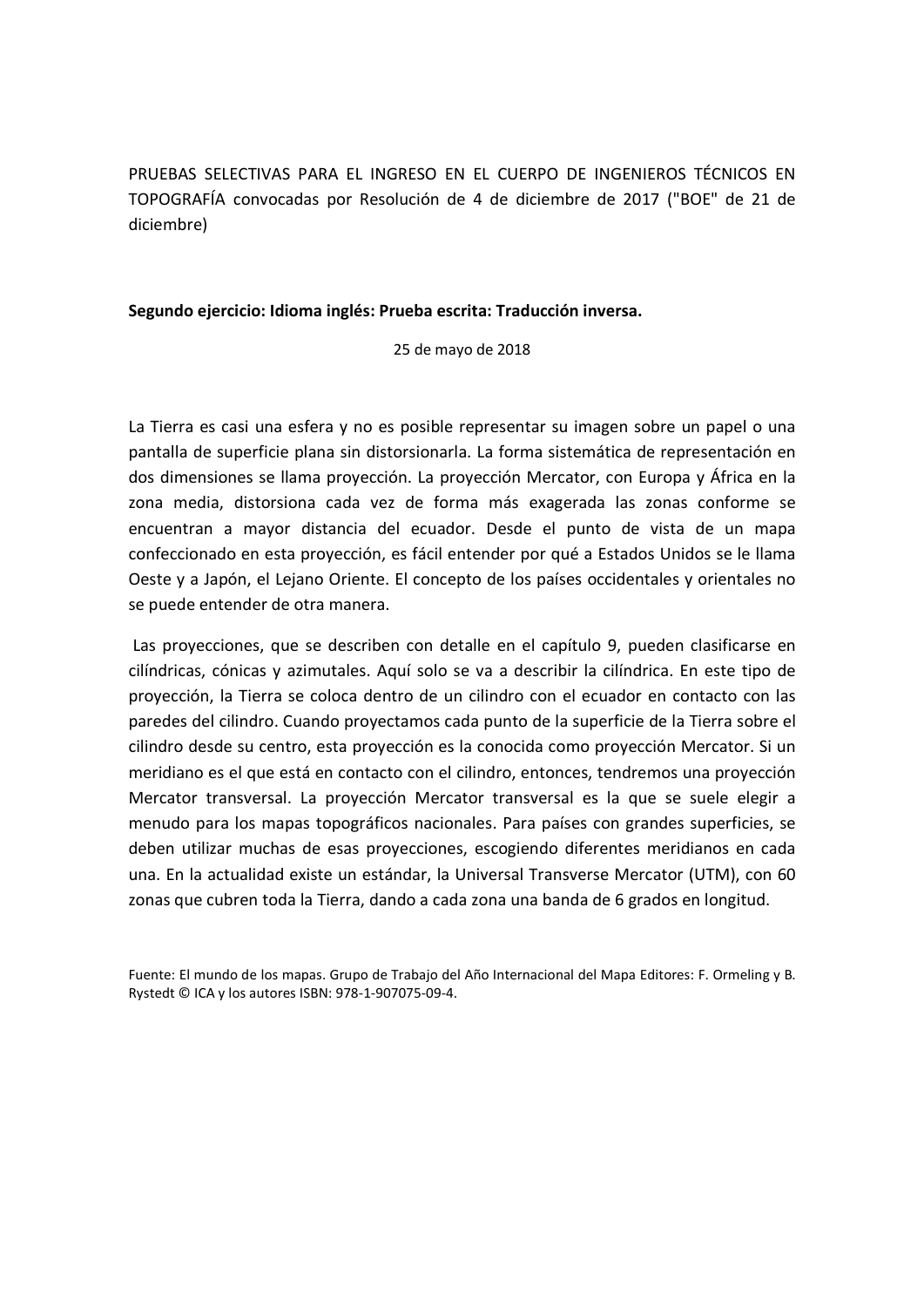PRUEBAS SELECTIVAS PARA EL INGRESO EN EL CUERPO DE INGENIEROS TÉCNICOS EN TOPOGRAFÍA convocadas por Resolución de 4 de diciembre de 2017 ("BOE" de 21 de diciembre)

## Segundo ejercicio: Idioma inglés: Prueba escrita: Traducción inversa.

25 de mayo de 2018

La Tierra es casi una esfera y no es posible representar su imagen sobre un papel o una pantalla de superficie plana sin distorsionarla. La forma sistemática de representación en dos dimensiones se llama proyección. La proyección Mercator, con Europa y África en la zona media, distorsiona cada vez de forma más exagerada las zonas conforme se encuentran a mayor distancia del ecuador. Desde el punto de vista de un mapa confeccionado en esta proyección, es fácil entender por qué a Estados Unidos se le llama Oeste y a Japón, el Lejano Oriente. El concepto de los países occidentales y orientales no se puede entender de otra manera.

 Las proyecciones, que se describen con detalle en el capítulo 9, pueden clasificarse en cilíndricas, cónicas y azimutales. Aquí solo se va a describir la cilíndrica. En este tipo de proyección, la Tierra se coloca dentro de un cilindro con el ecuador en contacto con las paredes del cilindro. Cuando proyectamos cada punto de la superficie de la Tierra sobre el cilindro desde su centro, esta proyección es la conocida como proyección Mercator. Si un meridiano es el que está en contacto con el cilindro, entonces, tendremos una proyección Mercator transversal. La proyección Mercator transversal es la que se suele elegir a menudo para los mapas topográficos nacionales. Para países con grandes superficies, se deben utilizar muchas de esas proyecciones, escogiendo diferentes meridianos en cada una. En la actualidad existe un estándar, la Universal Transverse Mercator (UTM), con 60 zonas que cubren toda la Tierra, dando a cada zona una banda de 6 grados en longitud.

Fuente: El mundo de los mapas. Grupo de Trabajo del Año Internacional del Mapa Editores: F. Ormeling y B. Rystedt © ICA y los autores ISBN: 978-1-907075-09-4.